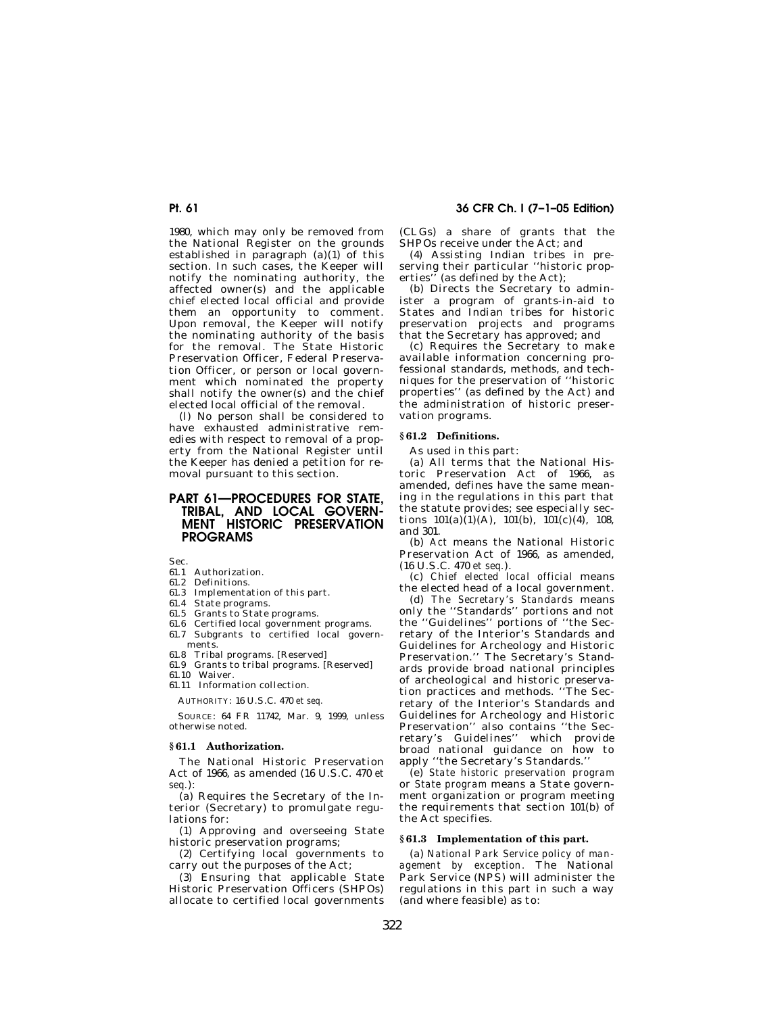# **Pt. 61 36 CFR Ch. I (7–1–05 Edition)**

1980, which may only be removed from the National Register on the grounds established in paragraph  $(a)(1)$  of this section. In such cases, the Keeper will notify the nominating authority, the affected owner(s) and the applicable chief elected local official and provide them an opportunity to comment. Upon removal, the Keeper will notify the nominating authority of the basis for the removal. The State Historic Preservation Officer, Federal Preservation Officer, or person or local government which nominated the property shall notify the owner(s) and the chief elected local official of the removal.

(l) No person shall be considered to have exhausted administrative remedies with respect to removal of a property from the National Register until the Keeper has denied a petition for removal pursuant to this section.

# **PART 61-PROCEDURES FOR STATE TRIBAL, AND LOCAL GOVERN-MENT HISTORIC PRESERVATION PROGRAMS**

Sec.

- 61.1 Authorization.
- 61.2 Definitions.
- 61.3 Implementation of this part.
- 61.4 State programs.
- 61.5 Grants to State programs.
- 61.6 Certified local government programs.
- 61.7 Subgrants to certified local govern-
- ments.
- 61.8 Tribal programs. [Reserved]
- 61.9 Grants to tribal programs. [Reserved]
- 61.10 Waiver. 61.11 Information collection.

AUTHORITY: 16 U.S.C. 470 *et seq.* 

SOURCE: 64 FR 11742, Mar. 9, 1999, unless otherwise noted.

### **§ 61.1 Authorization.**

The National Historic Preservation Act of 1966, as amended (16 U.S.C. 470 *et seq.*):

(a) Requires the Secretary of the Interior (Secretary) to promulgate regulations for:

(1) Approving and overseeing State historic preservation programs;

(2) Certifying local governments to carry out the purposes of the Act;

(3) Ensuring that applicable State Historic Preservation Officers (SHPOs) allocate to certified local governments (CLGs) a share of grants that the SHPOs receive under the Act; and

(4) Assisting Indian tribes in preserving their particular ''historic properties" (as defined by the Act);

(b) Directs the Secretary to administer a program of grants-in-aid to States and Indian tribes for historic preservation projects and programs that the Secretary has approved; and

(c) Requires the Secretary to make available information concerning professional standards, methods, and techniques for the preservation of ''historic properties'' (as defined by the Act) and the administration of historic preservation programs.

### **§ 61.2 Definitions.**

As used in this part:

(a) All terms that the National Historic Preservation Act of 1966, as amended, defines have the same meaning in the regulations in this part that the statute provides; see especially sections  $101(a)(1)(A)$ ,  $101(b)$ ,  $101(c)(4)$ , 108, and 301.

(b) *Act* means the National Historic Preservation Act of 1966, as amended, (16 U.S.C. 470 *et seq.*).

(c) *Chief elected local official* means the elected head of a local government.

(d) *The Secretary's Standards* means only the ''Standards'' portions and not the ''Guidelines'' portions of ''the Secretary of the Interior's Standards and Guidelines for Archeology and Historic Preservation.'' The Secretary's Standards provide broad national principles of archeological and historic preservation practices and methods. ''The Secretary of the Interior's Standards and Guidelines for Archeology and Historic Preservation'' also contains ''the Secretary's Guidelines'' which provide broad national guidance on how to apply ''the Secretary's Standards.''

(e) *State historic preservation program*  or *State program* means a State government organization or program meeting the requirements that section 101(b) of the Act specifies.

# **§ 61.3 Implementation of this part.**

(a) *National Park Service policy of management by exception.* The National Park Service (NPS) will administer the regulations in this part in such a way (and where feasible) as to: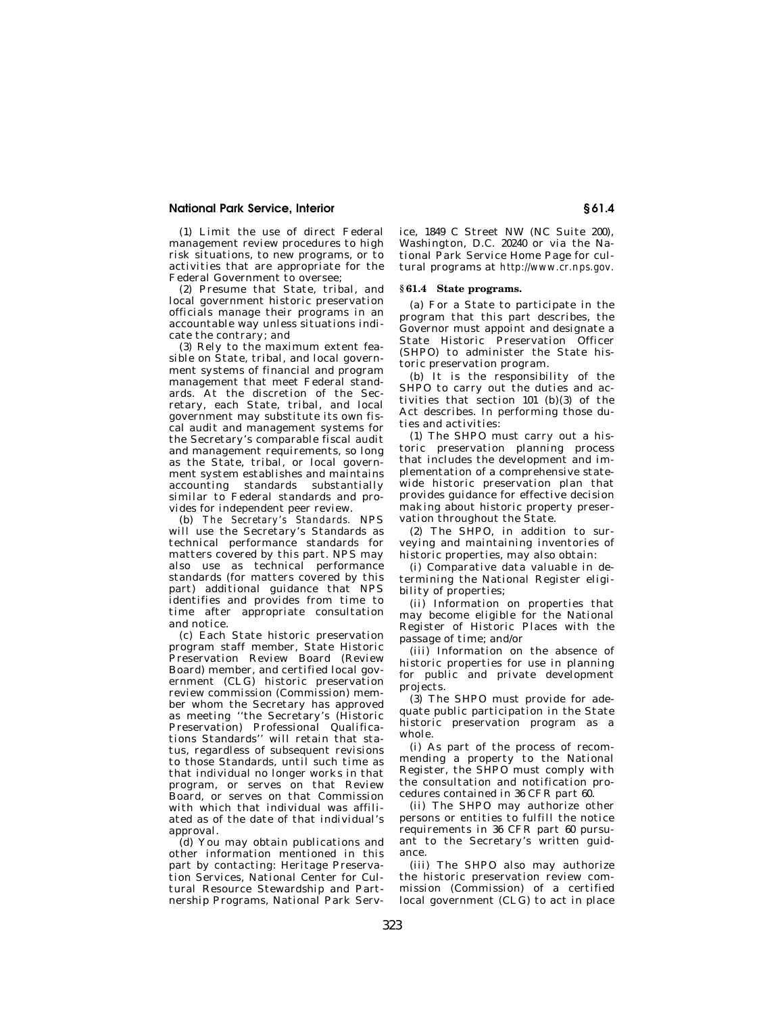### **National Park Service, Interior § 61.4**

(1) Limit the use of direct Federal management review procedures to high risk situations, to new programs, or to activities that are appropriate for the Federal Government to oversee;

(2) Presume that State, tribal, and local government historic preservation officials manage their programs in an accountable way unless situations indicate the contrary; and

(3) Rely to the maximum extent feasible on State, tribal, and local government systems of financial and program management that meet Federal standards. At the discretion of the Secretary, each State, tribal, and local government may substitute its own fiscal audit and management systems for the Secretary's comparable fiscal audit and management requirements, so long as the State, tribal, or local government system establishes and maintains accounting standards substantially similar to Federal standards and provides for independent peer review.

(b) *The Secretary's Standards.* NPS will use the Secretary's Standards as technical performance standards for matters covered by this part. NPS may also use as technical performance standards (for matters covered by this part) additional guidance that NPS identifies and provides from time to time after appropriate consultation and notice.

(c) Each State historic preservation program staff member, State Historic Preservation Review Board (Review Board) member, and certified local government (CLG) historic preservation review commission (Commission) member whom the Secretary has approved as meeting ''the Secretary's (Historic Preservation) Professional Qualifications Standards'' will retain that status, regardless of subsequent revisions to those Standards, until such time as that individual no longer works in that program, or serves on that Review Board, or serves on that Commission with which that individual was affiliated as of the date of that individual's approval.

(d) You may obtain publications and other information mentioned in this part by contacting: Heritage Preservation Services, National Center for Cultural Resource Stewardship and Partnership Programs, National Park Service, 1849 C Street NW (NC Suite 200), Washington, D.C. 20240 or via the National Park Service Home Page for cultural programs at *http://www.cr.nps.gov.* 

### **§ 61.4 State programs.**

(a) For a State to participate in the program that this part describes, the Governor must appoint and designate a State Historic Preservation Officer (SHPO) to administer the State historic preservation program.

(b) It is the responsibility of the SHPO to carry out the duties and activities that section 101 (b)(3) of the Act describes. In performing those duties and activities:

(1) The SHPO must carry out a historic preservation planning process that includes the development and implementation of a comprehensive statewide historic preservation plan that provides guidance for effective decision making about historic property preservation throughout the State.

(2) The SHPO, in addition to surveying and maintaining inventories of historic properties, may also obtain:

(i) Comparative data valuable in determining the National Register eligibility of properties;

(ii) Information on properties that may become eligible for the National Register of Historic Places with the passage of time; and/or

(iii) Information on the absence of historic properties for use in planning for public and private development projects.

(3) The SHPO must provide for adequate public participation in the State historic preservation program as a whole.

(i) As part of the process of recommending a property to the National Register, the SHPO must comply with the consultation and notification procedures contained in 36 CFR part 60.

(ii) The SHPO may authorize other persons or entities to fulfill the notice requirements in 36 CFR part 60 pursuant to the Secretary's written guidance.

(iii) The SHPO also may authorize the historic preservation review commission (Commission) of a certified local government (CLG) to act in place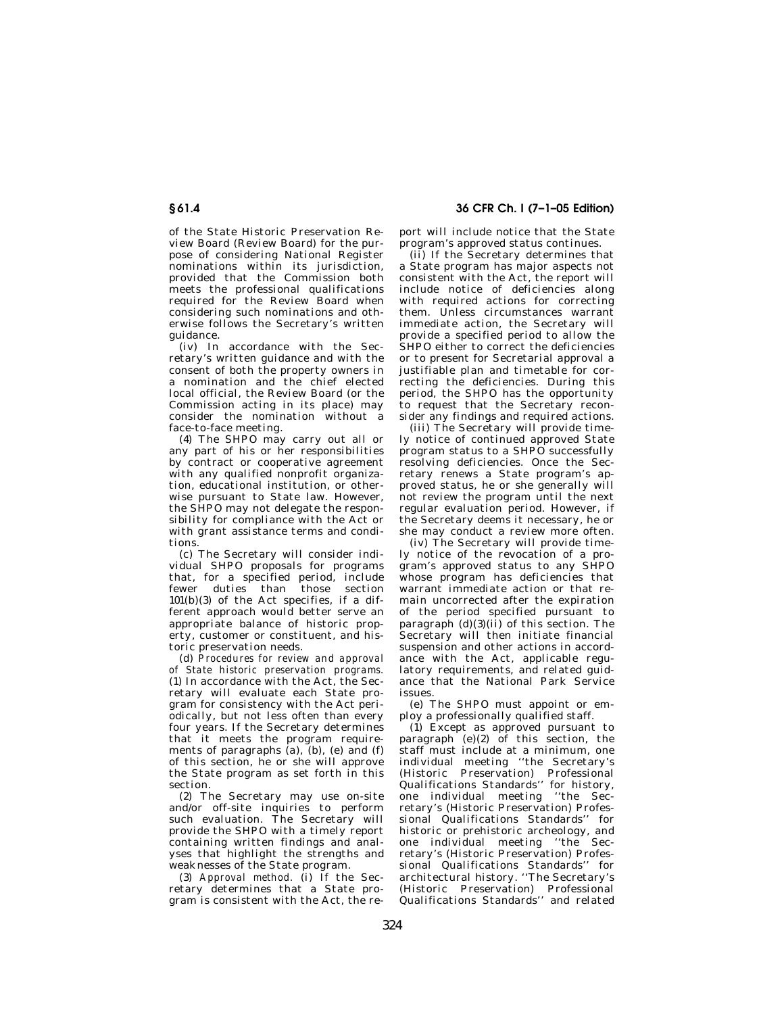of the State Historic Preservation Review Board (Review Board) for the purpose of considering National Register nominations within its jurisdiction, provided that the Commission both meets the professional qualifications required for the Review Board when considering such nominations and otherwise follows the Secretary's written guidance.

(iv) In accordance with the Secretary's written guidance and with the consent of both the property owners in a nomination and the chief elected local official, the Review Board (or the Commission acting in its place) may consider the nomination without a face-to-face meeting.

(4) The SHPO may carry out all or any part of his or her responsibilities by contract or cooperative agreement with any qualified nonprofit organization, educational institution, or otherwise pursuant to State law. However, the SHPO may not delegate the responsibility for compliance with the Act or with grant assistance terms and conditions.

(c) The Secretary will consider individual SHPO proposals for programs that, for a specified period, include fewer duties than those section 101(b)(3) of the Act specifies, if a different approach would better serve an appropriate balance of historic property, customer or constituent, and historic preservation needs.

(d) *Procedures for review and approval of State historic preservation programs.*  (1) In accordance with the Act, the Secretary will evaluate each State program for consistency with the Act periodically, but not less often than every four years. If the Secretary determines that it meets the program requirements of paragraphs  $(a)$ ,  $(b)$ ,  $(e)$  and  $(f)$ of this section, he or she will approve the State program as set forth in this section.

(2) The Secretary may use on-site and/or off-site inquiries to perform such evaluation. The Secretary will provide the SHPO with a timely report containing written findings and analyses that highlight the strengths and weaknesses of the State program.

(3) *Approval method.* (i) If the Secretary determines that a State program is consistent with the Act, the re-

**§ 61.4 36 CFR Ch. I (7–1–05 Edition)** 

port will include notice that the State program's approved status continues.

(ii) If the Secretary determines that a State program has major aspects not consistent with the Act, the report will include notice of deficiencies along with required actions for correcting them. Unless circumstances warrant immediate action, the Secretary will provide a specified period to allow the SHPO either to correct the deficiencies or to present for Secretarial approval a justifiable plan and timetable for correcting the deficiencies. During this period, the SHPO has the opportunity to request that the Secretary reconsider any findings and required actions.

(iii) The Secretary will provide timely notice of continued approved State program status to a SHPO successfully resolving deficiencies. Once the Secretary renews a State program's approved status, he or she generally will not review the program until the next regular evaluation period. However, if the Secretary deems it necessary, he or she may conduct a review more often.

(iv) The Secretary will provide timely notice of the revocation of a program's approved status to any SHPO whose program has deficiencies that warrant immediate action or that remain uncorrected after the expiration of the period specified pursuant to paragraph  $(d)(3)(ii)$  of this section. The Secretary will then initiate financial suspension and other actions in accordance with the Act, applicable regulatory requirements, and related guidance that the National Park Service issues.

(e) The SHPO must appoint or employ a professionally qualified staff.

(1) Except as approved pursuant to paragraph (e)(2) of this section, the staff must include at a minimum, one individual meeting ''the Secretary's (Historic Preservation) Professional Qualifications Standards'' for history, one individual meeting ''the Secretary's (Historic Preservation) Professional Qualifications Standards'' for historic or prehistoric archeology, and one individual meeting ''the Secretary's (Historic Preservation) Professional Qualifications Standards'' for architectural history. ''The Secretary's (Historic Preservation) Professional Qualifications Standards'' and related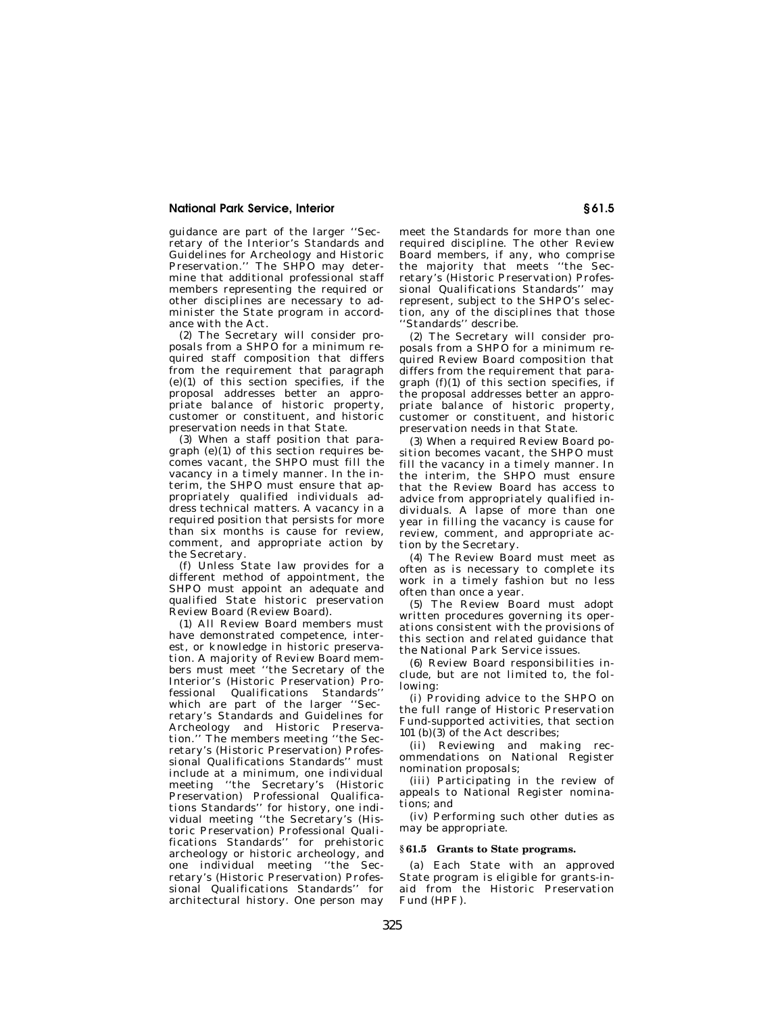### **National Park Service, Interior § 61.5**

guidance are part of the larger ''Secretary of the Interior's Standards and Guidelines for Archeology and Historic Preservation.'' The SHPO may determine that additional professional staff members representing the required or other disciplines are necessary to administer the State program in accordance with the Act.

(2) The Secretary will consider proposals from a SHPO for a minimum required staff composition that differs from the requirement that paragraph  $(e)(1)$  of this section specifies, if the proposal addresses better an appropriate balance of historic property, customer or constituent, and historic preservation needs in that State.

(3) When a staff position that paragraph  $(e)(1)$  of this section requires becomes vacant, the SHPO must fill the vacancy in a timely manner. In the interim, the SHPO must ensure that appropriately qualified individuals address technical matters. A vacancy in a required position that persists for more than six months is cause for review, comment, and appropriate action by the Secretary.

(f) Unless State law provides for a different method of appointment, the SHPO must appoint an adequate and qualified State historic preservation Review Board (Review Board).

(1) All Review Board members must have demonstrated competence, interest, or knowledge in historic preservation. A majority of Review Board members must meet ''the Secretary of the Interior's (Historic Preservation) Professional Qualifications Standards'' which are part of the larger ''Secretary's Standards and Guidelines for Archeology and Historic Preservation.'' The members meeting ''the Secretary's (Historic Preservation) Professional Qualifications Standards'' must include at a minimum, one individual meeting ''the Secretary's (Historic Preservation) Professional Qualifications Standards'' for history, one individual meeting ''the Secretary's (Historic Preservation) Professional Qualifications Standards'' for prehistoric archeology or historic archeology, and one individual meeting ''the Secretary's (Historic Preservation) Professional Qualifications Standards'' for architectural history. One person may

meet the Standards for more than one required discipline. The other Review Board members, if any, who comprise the majority that meets "the Secretary's (Historic Preservation) Professional Qualifications Standards'' may represent, subject to the SHPO's selection, any of the disciplines that those 'Standards'' describe.

(2) The Secretary will consider proposals from a SHPO for a minimum required Review Board composition that differs from the requirement that paragraph  $(f)(1)$  of this section specifies, if the proposal addresses better an appropriate balance of historic property, customer or constituent, and historic preservation needs in that State.

(3) When a required Review Board position becomes vacant, the SHPO must fill the vacancy in a timely manner. In the interim, the SHPO must ensure that the Review Board has access to advice from appropriately qualified individuals. A lapse of more than one year in filling the vacancy is cause for review, comment, and appropriate action by the Secretary.

(4) The Review Board must meet as often as is necessary to complete its work in a timely fashion but no less often than once a year.

(5) The Review Board must adopt written procedures governing its operations consistent with the provisions of this section and related guidance that the National Park Service issues.

(6) Review Board responsibilities include, but are not limited to, the following:

(i) Providing advice to the SHPO on the full range of Historic Preservation Fund-supported activities, that section 101 (b) $(3)$  of the Act describes;

(ii) Reviewing and making recommendations on National Register nomination proposals;

(iii) Participating in the review of appeals to National Register nominations; and

(iv) Performing such other duties as may be appropriate.

## **§ 61.5 Grants to State programs.**

(a) Each State with an approved State program is eligible for grants-inaid from the Historic Preservation Fund (HPF).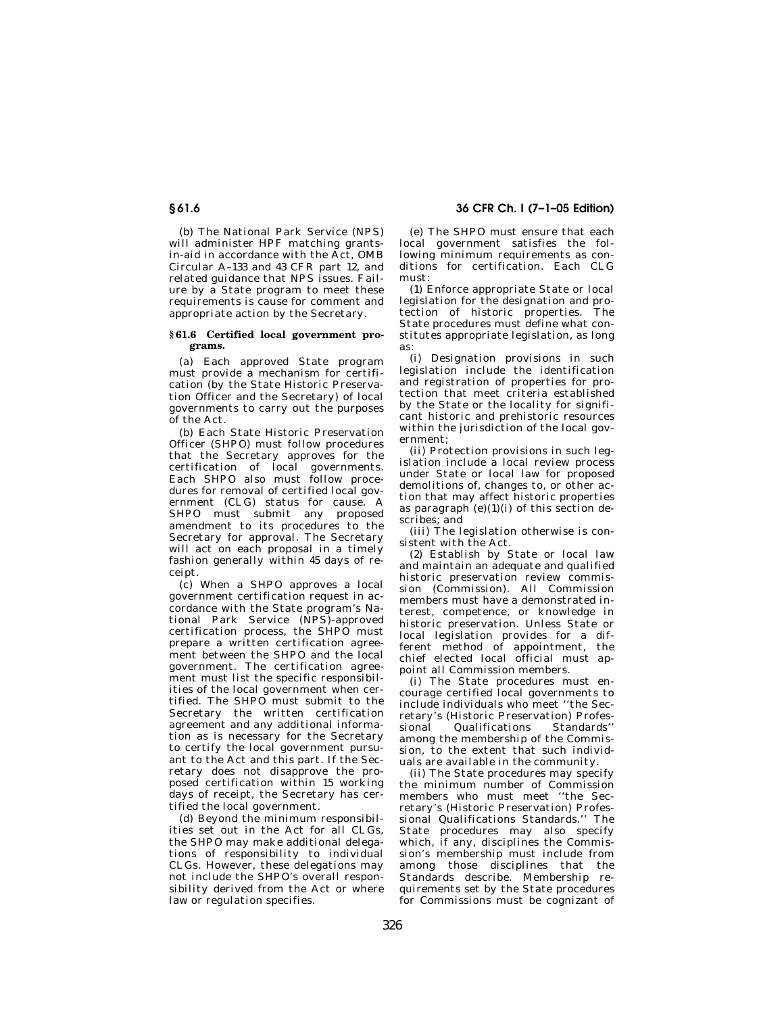# **§ 61.6 36 CFR Ch. I (7–1–05 Edition)**

(b) The National Park Service (NPS) will administer HPF matching grantsin-aid in accordance with the Act, OMB Circular A–133 and 43 CFR part 12, and related guidance that NPS issues. Failure by a State program to meet these requirements is cause for comment and appropriate action by the Secretary.

### **§ 61.6 Certified local government programs.**

(a) Each approved State program must provide a mechanism for certification (by the State Historic Preservation Officer and the Secretary) of local governments to carry out the purposes of the Act.

(b) Each State Historic Preservation Officer (SHPO) must follow procedures that the Secretary approves for the certification of local governments. Each SHPO also must follow procedures for removal of certified local government (CLG) status for cause. A SHPO must submit any proposed amendment to its procedures to the Secretary for approval. The Secretary will act on each proposal in a timely fashion generally within 45 days of receipt.

(c) When a SHPO approves a local government certification request in accordance with the State program's National Park Service (NPS)-approved certification process, the SHPO must prepare a written certification agreement between the SHPO and the local government. The certification agreement must list the specific responsibilities of the local government when certified. The SHPO must submit to the Secretary the written certification agreement and any additional information as is necessary for the Secretary to certify the local government pursuant to the Act and this part. If the Secretary does not disapprove the proposed certification within 15 working days of receipt, the Secretary has certified the local government.

(d) Beyond the minimum responsibilities set out in the Act for all CLGs, the SHPO may make additional delegations of responsibility to individual CLGs. However, these delegations may not include the SHPO's overall responsibility derived from the Act or where law or regulation specifies.

(e) The SHPO must ensure that each local government satisfies the following minimum requirements as conditions for certification. Each CLG must:

(1) Enforce appropriate State or local legislation for the designation and protection of historic properties. The State procedures must define what constitutes appropriate legislation, as long as:

(i) Designation provisions in such legislation include the identification and registration of properties for protection that meet criteria established by the State or the locality for significant historic and prehistoric resources within the jurisdiction of the local government;

(ii) Protection provisions in such legislation include a local review process under State or local law for proposed demolitions of, changes to, or other action that may affect historic properties as paragraph  $(e)(1)(i)$  of this section describes; and

(iii) The legislation otherwise is consistent with the Act.

(2) Establish by State or local law and maintain an adequate and qualified historic preservation review commission (Commission). All Commission members must have a demonstrated interest, competence, or knowledge in historic preservation. Unless State or local legislation provides for a different method of appointment, the chief elected local official must appoint all Commission members.

(i) The State procedures must encourage certified local governments to include individuals who meet ''the Secretary's (Historic Preservation) Professional Qualifications among the membership of the Commission, to the extent that such individuals are available in the community.

(ii) The State procedures may specify the minimum number of Commission members who must meet ''the Secretary's (Historic Preservation) Professional Qualifications Standards.'' The State procedures may also specify which, if any, disciplines the Commission's membership must include from among those disciplines that the Standards describe. Membership requirements set by the State procedures for Commissions must be cognizant of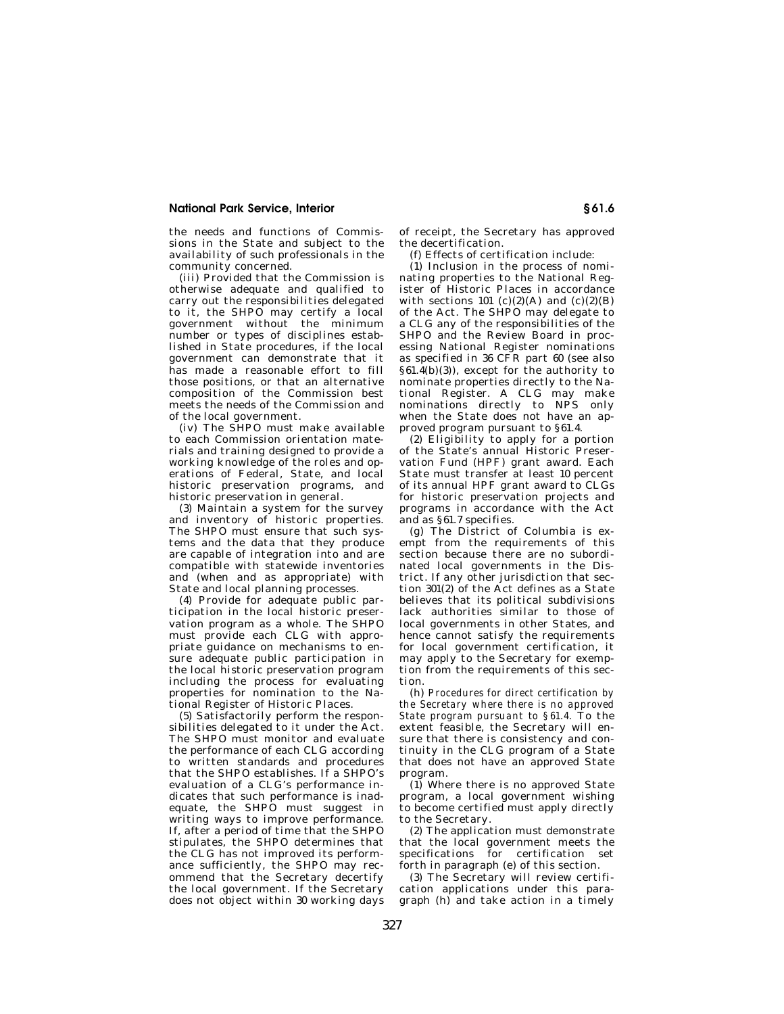### **National Park Service, Interior § 61.6**

the needs and functions of Commissions in the State and subject to the availability of such professionals in the community concerned.

(iii) Provided that the Commission is otherwise adequate and qualified to carry out the responsibilities delegated to it, the SHPO may certify a local government without the minimum number or types of disciplines established in State procedures, if the local government can demonstrate that it has made a reasonable effort to fill those positions, or that an alternative composition of the Commission best meets the needs of the Commission and of the local government.

(iv) The SHPO must make available to each Commission orientation materials and training designed to provide a working knowledge of the roles and operations of Federal, State, and local historic preservation programs, and historic preservation in general.

(3) Maintain a system for the survey and inventory of historic properties. The SHPO must ensure that such systems and the data that they produce are capable of integration into and are compatible with statewide inventories and (when and as appropriate) with State and local planning processes.

(4) Provide for adequate public participation in the local historic preservation program as a whole. The SHPO must provide each CLG with appropriate guidance on mechanisms to ensure adequate public participation in the local historic preservation program including the process for evaluating properties for nomination to the National Register of Historic Places.

(5) Satisfactorily perform the responsibilities delegated to it under the Act. The SHPO must monitor and evaluate the performance of each CLG according to written standards and procedures that the SHPO establishes. If a SHPO's evaluation of a CLG's performance indicates that such performance is inadequate, the SHPO must suggest in writing ways to improve performance. If, after a period of time that the SHPO stipulates, the SHPO determines that the CLG has not improved its performance sufficiently, the SHPO may recommend that the Secretary decertify the local government. If the Secretary does not object within 30 working days of receipt, the Secretary has approved the decertification.

(f) Effects of certification include:

(1) Inclusion in the process of nominating properties to the National Register of Historic Places in accordance with sections 101  $(c)(2)(A)$  and  $(c)(2)(B)$ of the Act. The SHPO may delegate to a CLG any of the responsibilities of the SHPO and the Review Board in processing National Register nominations as specified in 36 CFR part 60 (see also §61.4(b)(3)), except for the authority to nominate properties directly to the National Register. A CLG may make nominations directly to NPS only when the State does not have an approved program pursuant to §61.4.

(2) Eligibility to apply for a portion of the State's annual Historic Preservation Fund (HPF) grant award. Each State must transfer at least 10 percent of its annual HPF grant award to CLGs for historic preservation projects and programs in accordance with the Act and as §61.7 specifies.

(g) The District of Columbia is exempt from the requirements of this section because there are no subordinated local governments in the District. If any other jurisdiction that section 301(2) of the Act defines as a State believes that its political subdivisions lack authorities similar to those of local governments in other States, and hence cannot satisfy the requirements for local government certification, it may apply to the Secretary for exemption from the requirements of this section.

(h) *Procedures for direct certification by the Secretary where there is no approved State program pursuant to §61.4.* To the extent feasible, the Secretary will ensure that there is consistency and continuity in the CLG program of a State that does not have an approved State program.

(1) Where there is no approved State program, a local government wishing to become certified must apply directly to the Secretary.

(2) The application must demonstrate that the local government meets the specifications for certification set forth in paragraph (e) of this section.

(3) The Secretary will review certification applications under this paragraph (h) and take action in a timely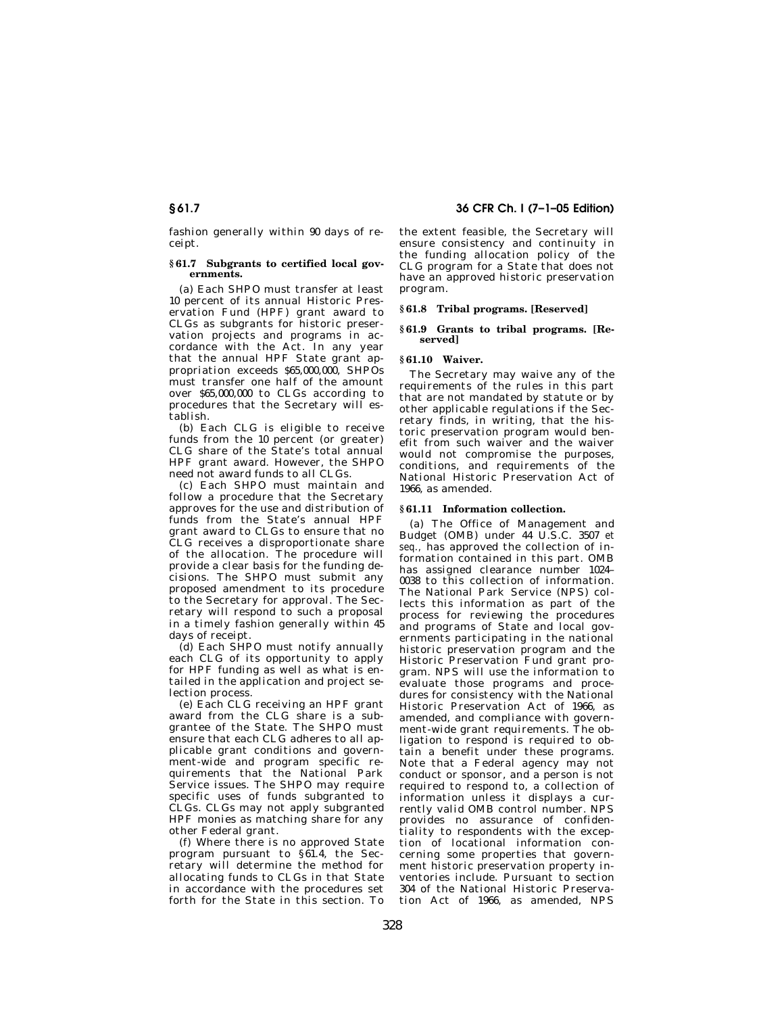fashion generally within 90 days of receipt.

### **§ 61.7 Subgrants to certified local governments.**

(a) Each SHPO must transfer at least 10 percent of its annual Historic Preservation Fund (HPF) grant award to CLGs as subgrants for historic preservation projects and programs in accordance with the Act. In any year that the annual HPF State grant appropriation exceeds \$65,000,000, SHPOs must transfer one half of the amount over \$65,000,000 to CLGs according to procedures that the Secretary will establish.

(b) Each CLG is eligible to receive funds from the 10 percent (or greater) CLG share of the State's total annual HPF grant award. However, the SHPO need not award funds to all CLGs.

(c) Each SHPO must maintain and follow a procedure that the Secretary approves for the use and distribution of funds from the State's annual HPF grant award to CLGs to ensure that no CLG receives a disproportionate share of the allocation. The procedure will provide a clear basis for the funding decisions. The SHPO must submit any proposed amendment to its procedure to the Secretary for approval. The Secretary will respond to such a proposal in a timely fashion generally within 45 days of receipt.

(d) Each SHPO must notify annually each CLG of its opportunity to apply for HPF funding as well as what is entailed in the application and project selection process.

(e) Each CLG receiving an HPF grant award from the CLG share is a subgrantee of the State. The SHPO must ensure that each CLG adheres to all applicable grant conditions and government-wide and program specific requirements that the National Park Service issues. The SHPO may require specific uses of funds subgranted to CLGs. CLGs may not apply subgranted HPF monies as matching share for any other Federal grant.

(f) Where there is no approved State program pursuant to §61.4, the Secretary will determine the method for allocating funds to CLGs in that State in accordance with the procedures set forth for the State in this section. To

**§ 61.7 36 CFR Ch. I (7–1–05 Edition)** 

the extent feasible, the Secretary will ensure consistency and continuity in the funding allocation policy of the CLG program for a State that does not have an approved historic preservation program.

### **§ 61.8 Tribal programs. [Reserved]**

### **§ 61.9 Grants to tribal programs. [Reserved]**

### **§ 61.10 Waiver.**

The Secretary may waive any of the requirements of the rules in this part that are not mandated by statute or by other applicable regulations if the Secretary finds, in writing, that the historic preservation program would benefit from such waiver and the waiver would not compromise the purposes, conditions, and requirements of the National Historic Preservation Act of 1966, as amended.

### **§ 61.11 Information collection.**

(a) The Office of Management and Budget (OMB) under 44 U.S.C. 3507 *et seq.,* has approved the collection of information contained in this part. OMB has assigned clearance number 1024– 0038 to this collection of information. The National Park Service (NPS) collects this information as part of the process for reviewing the procedures and programs of State and local governments participating in the national historic preservation program and the Historic Preservation Fund grant program. NPS will use the information to evaluate those programs and procedures for consistency with the National Historic Preservation Act of 1966, as amended, and compliance with government-wide grant requirements. The obligation to respond is required to obtain a benefit under these programs. Note that a Federal agency may not conduct or sponsor, and a person is not required to respond to, a collection of information unless it displays a currently valid OMB control number. NPS provides no assurance of confidentiality to respondents with the exception of locational information concerning some properties that government historic preservation property inventories include. Pursuant to section 304 of the National Historic Preservation Act of 1966, as amended, NPS